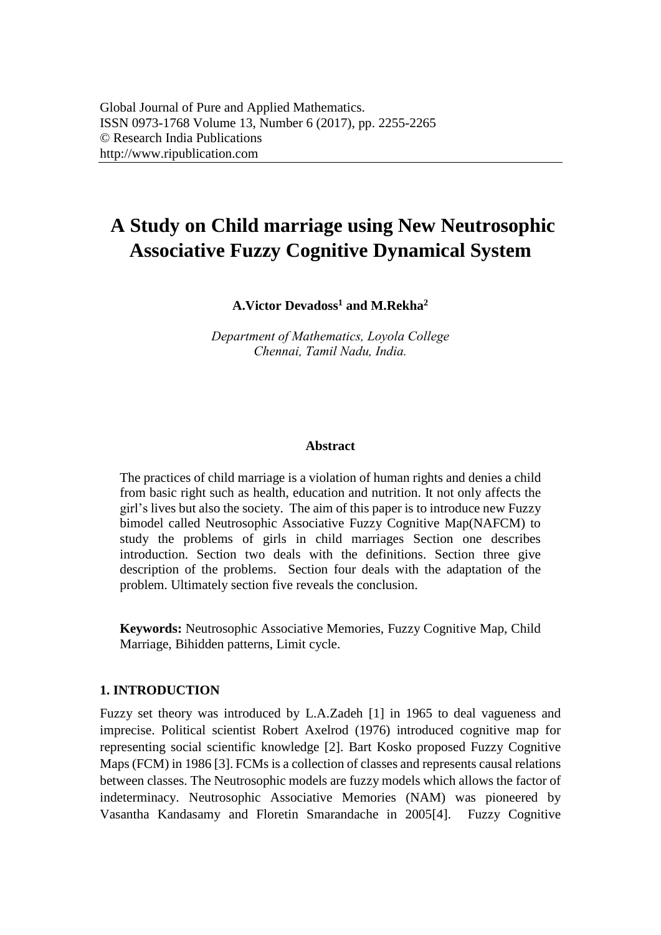# **A Study on Child marriage using New Neutrosophic Associative Fuzzy Cognitive Dynamical System**

**A.Victor Devadoss<sup>1</sup> and M.Rekha<sup>2</sup>**

*Department of Mathematics, Loyola College [Chennai, Tamil N](mailto:hanivictor@ymail.com1)adu, India.* 

### **Abstract**

The practices of child marriage is a violation of human rights and denies a child from basic right such as health, education and nutrition. It not only affects the girl's lives but also the society. The aim of this paper is to introduce new Fuzzy bimodel called Neutrosophic Associative Fuzzy Cognitive Map(NAFCM) to study the problems of girls in child marriages Section one describes introduction. Section two deals with the definitions. Section three give description of the problems. Section four deals with the adaptation of the problem. Ultimately section five reveals the conclusion.

**Keywords:** Neutrosophic Associative Memories, Fuzzy Cognitive Map, Child Marriage, Bihidden patterns, Limit cycle.

### **1. INTRODUCTION**

Fuzzy set theory was introduced by L.A.Zadeh [1] in 1965 to deal vagueness and imprecise. Political scientist Robert Axelrod (1976) introduced cognitive map for representing social scientific knowledge [2]. Bart Kosko proposed Fuzzy Cognitive Maps (FCM) in 1986 [3]. FCMs is a collection of classes and represents causal relations between classes. The Neutrosophic models are fuzzy models which allows the factor of indeterminacy. Neutrosophic Associative Memories (NAM) was pioneered by Vasantha Kandasamy and Floretin Smarandache in 2005[4]. Fuzzy Cognitive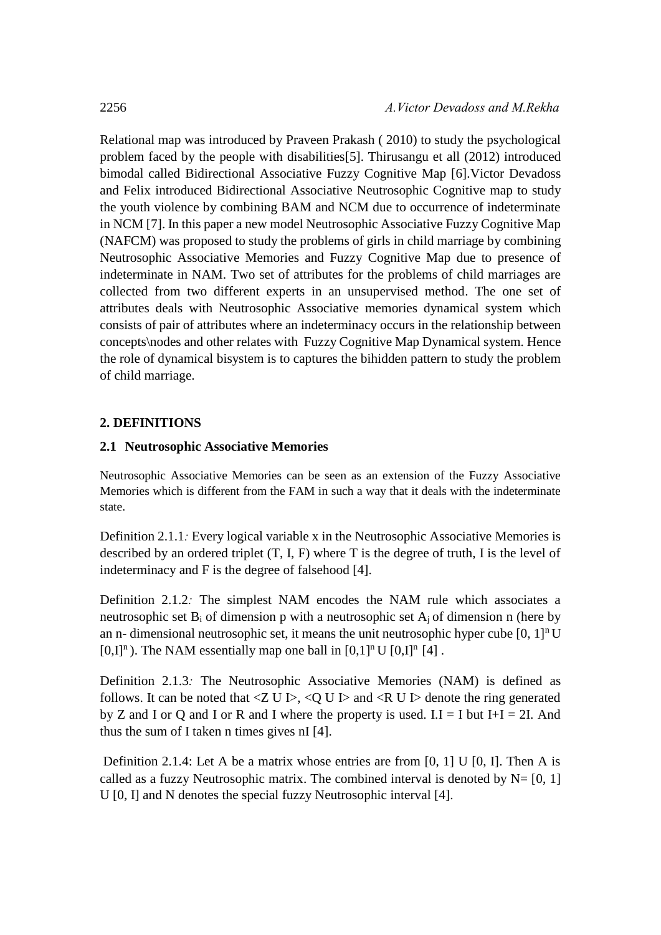Relational map was introduced by Praveen Prakash ( 2010) to study the psychological problem faced by the people with disabilities[5]. Thirusangu et all (2012) introduced bimodal called Bidirectional Associative Fuzzy Cognitive Map [6].Victor Devadoss and Felix introduced Bidirectional Associative Neutrosophic Cognitive map to study the youth violence by combining BAM and NCM due to occurrence of indeterminate in NCM [7]. In this paper a new model Neutrosophic Associative Fuzzy Cognitive Map (NAFCM) was proposed to study the problems of girls in child marriage by combining Neutrosophic Associative Memories and Fuzzy Cognitive Map due to presence of indeterminate in NAM. Two set of attributes for the problems of child marriages are collected from two different experts in an unsupervised method. The one set of attributes deals with Neutrosophic Associative memories dynamical system which consists of pair of attributes where an indeterminacy occurs in the relationship between concepts\nodes and other relates with Fuzzy Cognitive Map Dynamical system. Hence the role of dynamical bisystem is to captures the bihidden pattern to study the problem of child marriage.

# **2. DEFINITIONS**

# **2.1 Neutrosophic Associative Memories**

Neutrosophic Associative Memories can be seen as an extension of the Fuzzy Associative Memories which is different from the FAM in such a way that it deals with the indeterminate state.

Definition 2.1.1*:* Every logical variable x in the Neutrosophic Associative Memories is described by an ordered triplet (T, I, F) where T is the degree of truth, I is the level of indeterminacy and F is the degree of falsehood [4].

Definition 2.1.2*:* The simplest NAM encodes the NAM rule which associates a neutrosophic set  $B_i$  of dimension p with a neutrosophic set  $A_i$  of dimension n (here by an n- dimensional neutrosophic set, it means the unit neutrosophic hyper cube  $[0, 1]$ <sup>n</sup> U  $[0,1]$ <sup>n</sup>). The NAM essentially map one ball in  $[0,1]$ <sup>n</sup> U  $[0,1]$ <sup>n</sup> [4] .

Definition 2.1.3*:* The Neutrosophic Associative Memories (NAM) is defined as follows. It can be noted that  $\langle Z \cup E \rangle$ ,  $\langle Q \cup E \rangle$  and  $\langle R \cup E \rangle$  denote the ring generated by Z and I or Q and I or R and I where the property is used.  $I.I = I$  but  $I+I = 2I$ . And thus the sum of I taken n times gives nI [4].

Definition 2.1.4: Let A be a matrix whose entries are from [0, 1] U [0, I]. Then A is called as a fuzzy Neutrosophic matrix. The combined interval is denoted by  $N = [0, 1]$ U [0, I] and N denotes the special fuzzy Neutrosophic interval [4].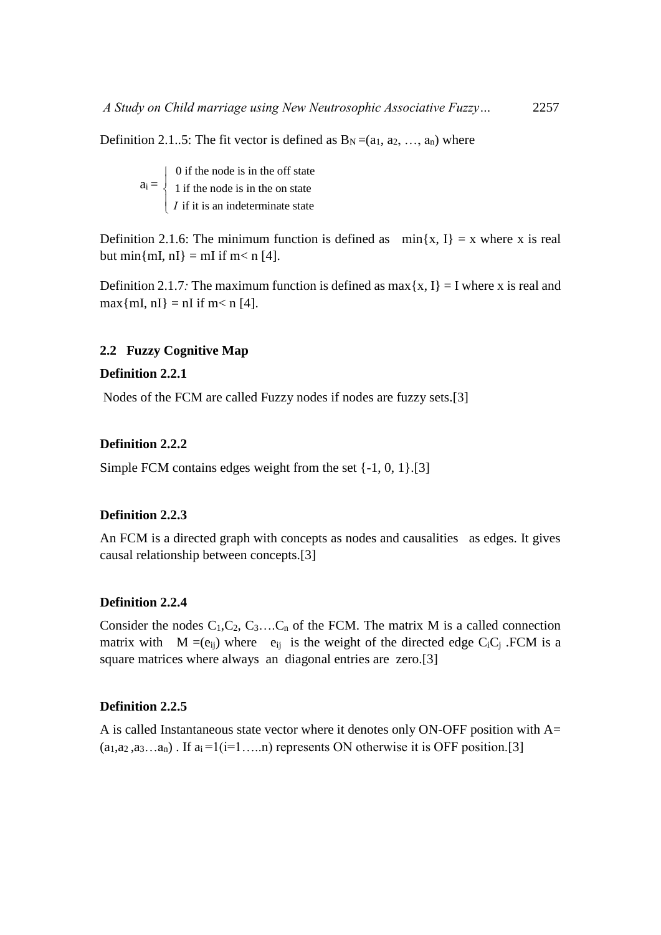Definition 2.1..5: The fit vector is defined as  $B_N = (a_1, a_2, ..., a_n)$  where

 $a_i =$  0 if the node is in the off state 1 if the node is in the on state *I* if it is an indeterminate state  $\overline{ }$  $\left\{ \right.$  $\overline{\mathcal{L}}$ 

Definition 2.1.6: The minimum function is defined as  $min\{x, 1\} = x$  where x is real but min{mI, nI} = mI if m< n [4].

Definition 2.1.7*:* The maximum function is defined as max $\{x, I\} = I$  where x is real and  $max{mI, nI} = nI$  if  $m < n$  [4].

# **2.2 Fuzzy Cognitive Map**

### **Definition 2.2.1**

Nodes of the FCM are called Fuzzy nodes if nodes are fuzzy sets.[3]

# **Definition 2.2.2**

Simple FCM contains edges weight from the set {-1, 0, 1}.[3]

### **Definition 2.2.3**

An FCM is a directed graph with concepts as nodes and causalities as edges. It gives causal relationship between concepts.[3]

# **Definition 2.2.4**

Consider the nodes  $C_1, C_2, C_3, \ldots, C_n$  of the FCM. The matrix M is a called connection matrix with  $M = (e_{ii})$  where  $e_{ii}$  is the weight of the directed edge C<sub>i</sub>C<sub>i</sub>. FCM is a square matrices where always an diagonal entries are zero.[3]

### **Definition 2.2.5**

A is called Instantaneous state vector where it denotes only ON-OFF position with A=  $(a_1, a_2, a_3, \ldots, a_n)$ . If  $a_i = 1(i=1, \ldots, n)$  represents ON otherwise it is OFF position.[3]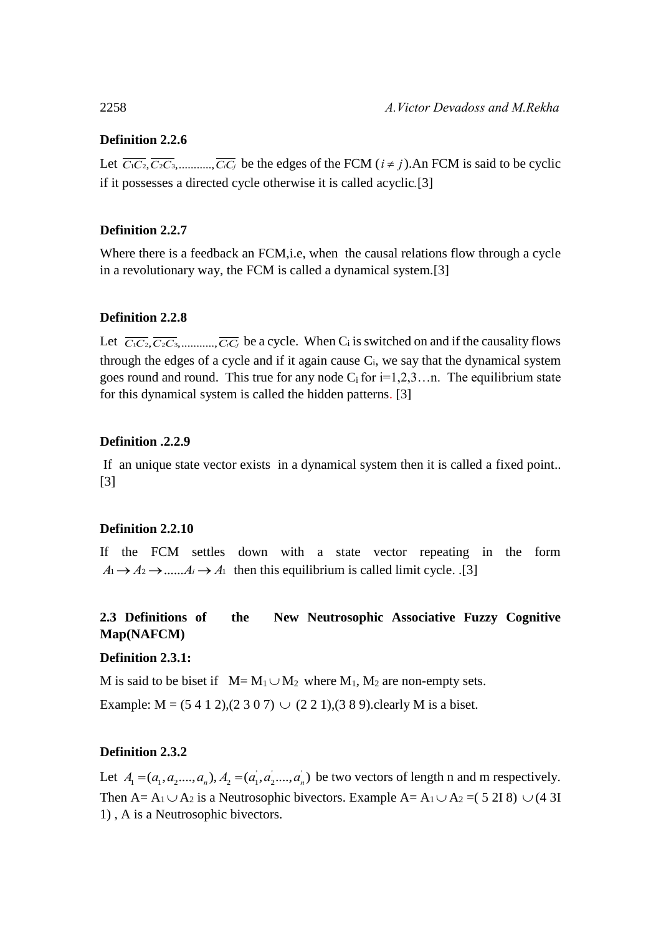# **Definition 2.2.6**

Let  $\overline{C_1C_2}, \overline{C_2C_3}, \dots, \overline{C_iC_j}$  be the edges of the FCM  $(i \neq j)$ . An FCM is said to be cyclic if it possesses a directed cycle otherwise it is called acyclic*.*[3]

# **Definition 2.2.7**

Where there is a feedback an FCM, i.e, when the causal relations flow through a cycle in a revolutionary way, the FCM is called a dynamical system.[3]

# **Definition 2.2.8**

Let  $\overline{C_1C_2}, \overline{C_2C_3}, \dots, \overline{C_iC_j}$  be a cycle. When C<sub>i</sub> is switched on and if the causality flows through the edges of a cycle and if it again cause  $C_i$ , we say that the dynamical system goes round and round. This true for any node  $C_i$  for  $i=1,2,3...$  The equilibrium state for this dynamical system is called the hidden patterns. [3]

# **Definition .2.2.9**

 If an unique state vector exists in a dynamical system then it is called a fixed point.. [3]

# **Definition 2.2.10**

If the FCM settles down with a state vector repeating in the form  $A_1 \rightarrow A_2 \rightarrow \dots \rightarrow A_i \rightarrow A_1$  then this equilibrium is called limit cycle. .[3]

# **2.3 Definitions of the New Neutrosophic Associative Fuzzy Cognitive Map(NAFCM)**

# **Definition 2.3.1:**

M is said to be biset if  $M = M_1 \cup M_2$  where  $M_1$ ,  $M_2$  are non-empty sets.

Example:  $M = (5 4 1 2), (2 3 0 7) \cup (2 2 1), (3 8 9)$ . clearly M is a biset.

# **Definition 2.3.2**

Let  $A_1 = (a_1, a_2, ..., a_n), A_2 = (a_1, a_2, ..., a_n)$  be two vectors of length n and m respectively. Then A= A<sub>1</sub>  $\cup$  A<sub>2</sub> is a Neutrosophic bivectors. Example A= A<sub>1</sub>  $\cup$  A<sub>2</sub> = (5 2I 8)  $\cup$  (4 3I 1) , A is a Neutrosophic bivectors.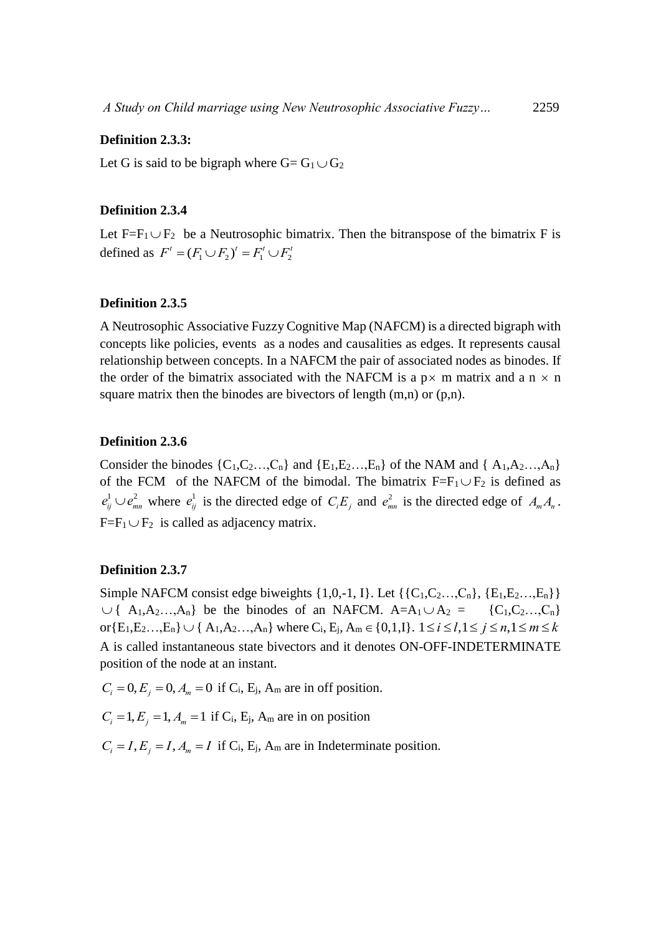### **Definition 2.3.3:**

Let G is said to be bigraph where  $G = G_1 \cup G_2$ 

### **Definition 2.3.4**

Let  $F=F_1 \cup F_2$  be a Neutrosophic bimatrix. Then the bitranspose of the bimatrix F is defined as  $F' = (F_1 \cup F_2)' = F_1' \cup F_2'$ 

### **Definition 2.3.5**

A Neutrosophic Associative Fuzzy Cognitive Map (NAFCM) is a directed bigraph with concepts like policies, events as a nodes and causalities as edges. It represents causal relationship between concepts. In a NAFCM the pair of associated nodes as binodes. If the order of the bimatrix associated with the NAFCM is a  $p \times m$  matrix and a  $n \times n$ square matrix then the binodes are bivectors of length  $(m,n)$  or  $(p,n)$ .

# **Definition 2.3.6**

Consider the binodes  $\{C_1, C_2, \ldots, C_n\}$  and  $\{E_1, E_2, \ldots, E_n\}$  of the NAM and  $\{A_1, A_2, \ldots, A_n\}$ of the FCM of the NAFCM of the bimodal. The bimatrix  $F = F_1 \cup F_2$  is defined as  $e_{ij}^1 \cup e_{mn}^2$  where  $e_{ij}^1$  is the directed edge of  $C_i E_j$  and  $e_{mn}^2$  is the directed edge of  $A_m A_n$ .  $F=F_1 \cup F_2$  is called as adjacency matrix.

### **Definition 2.3.7**

Simple NAFCM consist edge biweights  $\{1,0,-1,1\}$ . Let  $\{\{C_1,C_2...,C_n\}, \{E_1,E_2...,E_n\}\}\$  $\cup$  {  $A_1, A_2, \ldots, A_n$ } be the binodes of an NAFCM.  $A = A_1 \cup A_2 = \{C_1, C_2, \ldots, C_n\}$ or $\{E_1, E_2, ..., E_n\} \cup \{A_1, A_2, ..., A_n\}$  where  $C_i$ ,  $E_j$ ,  $A_m \in \{0, 1, 1\}$ .  $1 \le i \le l, 1 \le j \le n, 1 \le m \le k$ A is called instantaneous state bivectors and it denotes ON-OFF-INDETERMINATE position of the node at an instant.

 $C_i = 0, E_j = 0, A_m = 0$  if C<sub>i</sub>, E<sub>j</sub>, A<sub>m</sub> are in off position.

 $C_i = 1, E_j = 1, A_m = 1$  if C<sub>i</sub>, E<sub>j</sub>, A<sub>m</sub> are in on position

 $C_i = I, E_j = I, A_m = I$  if  $C_i$ ,  $E_j$ ,  $A_m$  are in Indeterminate position.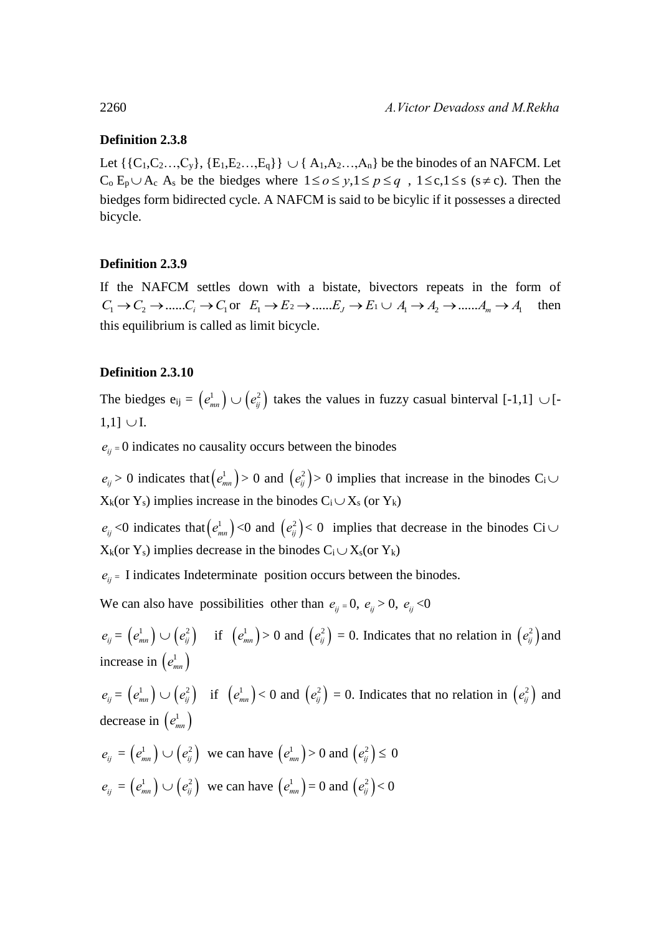### **Definition 2.3.8**

Let  $\{ \{C_1, C_2, ..., C_y\}, \{E_1, E_2, ..., E_q\} \} \cup \{ A_1, A_2, ..., A_n \}$  be the binodes of an NAFCM. Let  $C_0 E_p \cup A_c A_s$  be the biedges where  $1 \le o \le y, 1 \le p \le q$ ,  $1 \le c, 1 \le s$  ( $s \ne c$ ). Then the biedges form bidirected cycle. A NAFCM is said to be bicylic if it possesses a directed bicycle.

# **Definition 2.3.9**

If the NAFCM settles down with a bistate, bivectors repeats in the form of  $C_1 \rightarrow C_2 \rightarrow ...... C_i \rightarrow C_1$  or  $E_1 \rightarrow E_2 \rightarrow ...... E_j \rightarrow E_1 \cup A_1 \rightarrow A_2 \rightarrow ...... A_m \rightarrow A_1$  then this equilibrium is called as limit bicycle.

# **Definition 2.3.10**

The biedges  $e_{ij} = (e_{mn}^1) \cup (e_{ij}^2)$  takes the values in fuzzy casual binterval [-1,1]  $\cup$  [- $1,1] \cup I.$ 

 $e_{ii}$  = 0 indicates no causality occurs between the binodes

 $e_{ij} > 0$  indicates that  $(e_{mn}^1) > 0$  and  $(e_{ij}^2) > 0$  implies that increase in the binodes C<sub>i</sub>  $X_k$ (or  $Y_s$ ) implies increase in the binodes  $C_i \cup X_s$  (or  $Y_k$ )

 $e_{ij}$  <0 indicates that  $(e_{mn}^1)$  <0 and  $(e_{ij}^2)$  < 0 implies that decrease in the binodes Ci  $\cup$  $X_k$ (or Y<sub>s</sub>) implies decrease in the binodes  $C_i \cup X_s$ (or Y<sub>k</sub>)

 $e_{ii}$  = I indicates Indeterminate position occurs between the binodes.

We can also have possibilities other than  $e_{ij} = 0$ ,  $e_{ij} > 0$ ,  $e_{ij} < 0$ 

 $e_{ij} = (e_{mn}^1) \cup (e_{ij}^2)$  if  $(e_{mn}^1) > 0$  and  $(e_{ij}^2) = 0$ . Indicates that no relation in  $(e_{ij}^2)$  and increase in  $(e_{mn}^1)$ 

 $e_{ij} = (e_{mn}^1) \cup (e_{ij}^2)$  if  $(e_{mn}^1) < 0$  and  $(e_{ij}^2) = 0$ . Indicates that no relation in  $(e_{ij}^2)$  and decrease in  $(e_{mn}^1)$ 

$$
e_{ij} = (e_{mn}^1) \cup (e_{ij}^2) \text{ we can have } (e_{mn}^1) > 0 \text{ and } (e_{ij}^2) \le 0
$$
  

$$
e_{ij} = (e_{mn}^1) \cup (e_{ij}^2) \text{ we can have } (e_{mn}^1) = 0 \text{ and } (e_{ij}^2) < 0
$$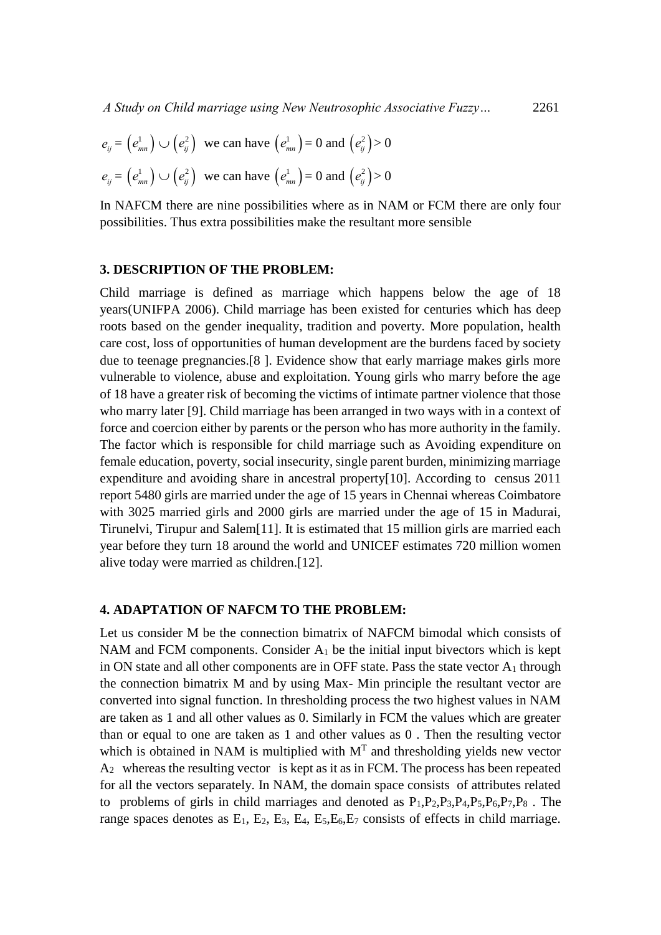$$
e_{ij} = (e_{mn}^1) \cup (e_{ij}^2) \text{ we can have } (e_{mn}^1) = 0 \text{ and } (e_{ij}^2) > 0
$$
  

$$
e_{ij} = (e_{mn}^1) \cup (e_{ij}^2) \text{ we can have } (e_{mn}^1) = 0 \text{ and } (e_{ij}^2) > 0
$$

In NAFCM there are nine possibilities where as in NAM or FCM there are only four possibilities. Thus extra possibilities make the resultant more sensible

### **3. DESCRIPTION OF THE PROBLEM:**

Child marriage is defined as marriage which happens below the age of 18 years(UNIFPA 2006). Child marriage has been existed for centuries which has deep roots based on the gender inequality, tradition and poverty. More population, health care cost, loss of opportunities of human development are the burdens faced by society due to teenage pregnancies.[8 ]. Evidence show that early marriage makes girls more vulnerable to violence, abuse and exploitation. Young girls who marry before the age of 18 have a greater risk of becoming the victims of intimate partner violence that those who marry later [9]. Child marriage has been arranged in two ways with in a context of force and coercion either by parents or the person who has more authority in the family. The factor which is responsible for child marriage such as Avoiding expenditure on female education, poverty, social insecurity, single parent burden, minimizing marriage expenditure and avoiding share in ancestral property[10]. According to census 2011 report 5480 girls are married under the age of 15 years in Chennai whereas Coimbatore with 3025 married girls and 2000 girls are married under the age of 15 in Madurai, Tirunelvi, Tirupur and Salem[11]. It is estimated that 15 million girls are married each year before they turn 18 around the world and UNICEF estimates 720 million women alive today were married as children.[12].

### **4. ADAPTATION OF NAFCM TO THE PROBLEM:**

Let us consider M be the connection bimatrix of NAFCM bimodal which consists of NAM and FCM components. Consider  $A_1$  be the initial input bivectors which is kept in ON state and all other components are in OFF state. Pass the state vector  $A_1$  through the connection bimatrix M and by using Max- Min principle the resultant vector are converted into signal function. In thresholding process the two highest values in NAM are taken as 1 and all other values as 0. Similarly in FCM the values which are greater than or equal to one are taken as 1 and other values as 0 . Then the resulting vector which is obtained in NAM is multiplied with  $M<sup>T</sup>$  and thresholding yields new vector A2 whereas the resulting vector is kept as it as in FCM. The process has been repeated for all the vectors separately. In NAM, the domain space consists of attributes related to problems of girls in child marriages and denoted as  $P_1, P_2, P_3, P_4, P_5, P_6, P_7, P_8$ . The range spaces denotes as  $E_1$ ,  $E_2$ ,  $E_3$ ,  $E_4$ ,  $E_5$ ,  $E_6$ ,  $E_7$  consists of effects in child marriage.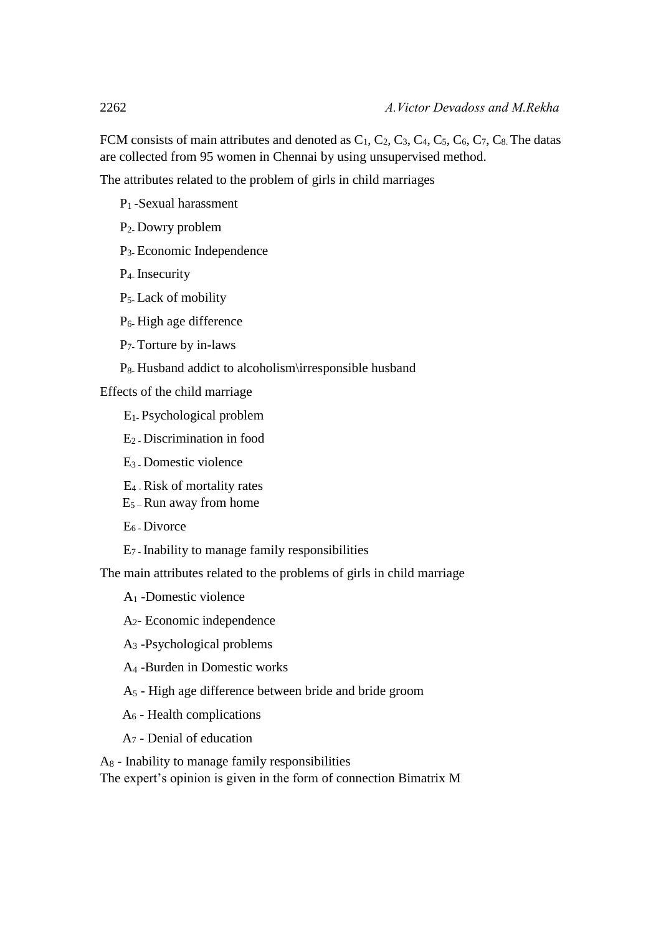FCM consists of main attributes and denoted as  $C_1$ ,  $C_2$ ,  $C_3$ ,  $C_4$ ,  $C_5$ ,  $C_6$ ,  $C_7$ ,  $C_8$ . The datas are collected from 95 women in Chennai by using unsupervised method.

The attributes related to the problem of girls in child marriages

- P1 -Sexual harassment
- P2- Dowry problem
- P3- Economic Independence
- P4- Insecurity
- P5- Lack of mobility
- P6- High age difference
- P7- Torture by in-laws
- P8- Husband addict to alcoholism\irresponsible husband

Effects of the child marriage

- E1- Psychological problem
- E2 Discrimination in food
- E3 Domestic violence
- E4 Risk of mortality rates
- E5 Run away from home
- E6 Divorce
- E7 Inability to manage family responsibilities

The main attributes related to the problems of girls in child marriage

- A<sup>1</sup> -Domestic violence
- A2- Economic independence
- A<sup>3</sup> -Psychological problems
- A<sup>4</sup> -Burden in Domestic works
- A<sup>5</sup> High age difference between bride and bride groom
- A<sup>6</sup> Health complications
- A<sup>7</sup> Denial of education

A<sup>8</sup> - Inability to manage family responsibilities

The expert's opinion is given in the form of connection Bimatrix M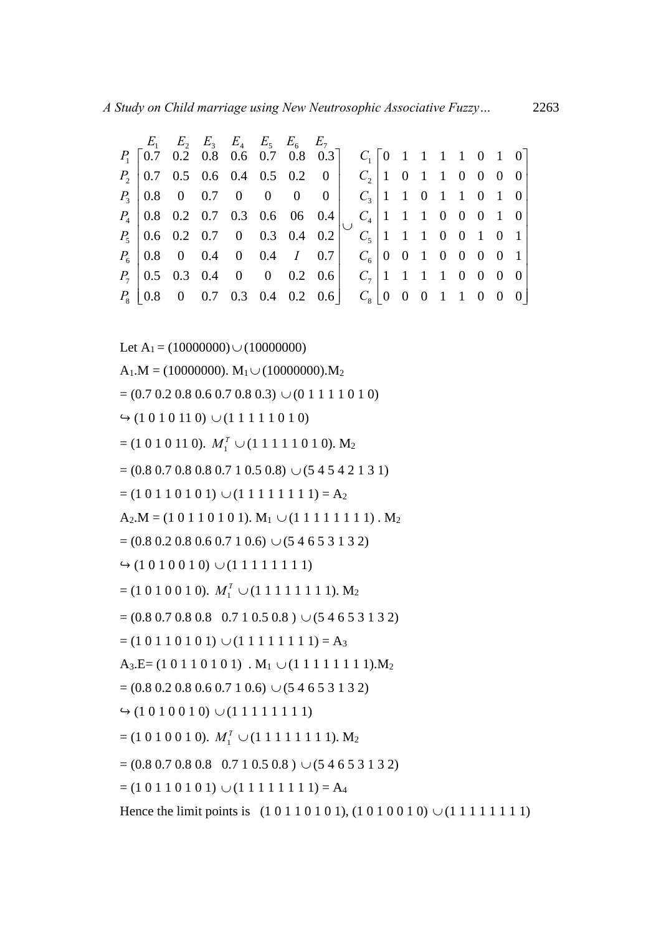|             | A Study on Child marriage using New Neutrosophic Associative Fuzzy |                                                                       |  |                         |  |  |                                    |                                               |  |            |  |                 |  | 2263                     |                         |                |
|-------------|--------------------------------------------------------------------|-----------------------------------------------------------------------|--|-------------------------|--|--|------------------------------------|-----------------------------------------------|--|------------|--|-----------------|--|--------------------------|-------------------------|----------------|
|             | $P_1$   0.7 0.2 0.8 0.6 0.7 0.8 0.3]                               | $E_1$ $E_2$ $E_3$ $E_4$ $E_5$ $E_6$ $E_7$                             |  |                         |  |  |                                    | $C_1$   0   1   1   1   0   0                 |  |            |  |                 |  |                          |                         |                |
| $P_{2}$     |                                                                    | $\begin{array}{cccccc} 0.7 & 0.5 & 0.6 & 0.4 & 0.5 & 0.2 \end{array}$ |  |                         |  |  |                                    | $0$   $C_2$   1 0 1 1 0 0 0                   |  |            |  |                 |  |                          |                         | $\overline{0}$ |
| $P_{3}$     |                                                                    | $\begin{array}{cccccc} 0.8 & 0 & 0.7 & 0 & 0 & 0 \end{array}$         |  |                         |  |  | $\begin{array}{c c} 0 \end{array}$ | $C_3$ 1 1 0 1 1 0 1 0                         |  |            |  |                 |  |                          |                         |                |
|             | $P_4$   0.8 0.2 0.7 0.3 0.6 06 0.4                                 |                                                                       |  |                         |  |  |                                    | $C_4$ 1 1 1 0 0 0 1 0                         |  |            |  |                 |  |                          |                         |                |
|             | $P_5$ 0.6 0.2 0.7 0 0.3 0.4 0.2                                    |                                                                       |  |                         |  |  |                                    | $C_5$   1   1   0   0   1   0                 |  |            |  |                 |  |                          |                         |                |
| $P_6$       | $0.8\,$                                                            |                                                                       |  |                         |  |  |                                    | 0 0.4 0 0.4 <i>I</i> 0.7 $C_6$   0 0 1        |  |            |  |                 |  | $0\quad 0\quad 0\quad 0$ |                         |                |
| $P_7$       |                                                                    |                                                                       |  |                         |  |  |                                    | 0.5 0.3 0.4 0 0 0.2 0.6 $C_7$ 1 1 1 1 0 0 0 0 |  |            |  |                 |  |                          |                         |                |
| $P_{\rm s}$ | $\mid 0.8 \mid$                                                    |                                                                       |  | $0$ 0.7 0.3 0.4 0.2 0.6 |  |  |                                    | $C_{\rm s}$   0                               |  | $0\quad 0$ |  | $1\quad1\quad0$ |  |                          | $\overline{\mathbf{0}}$ |                |

Let  $A_1 = (10000000) \cup (10000000)$  $A_1.M = (10000000)$ .  $M_1 \cup (10000000)$ .  $M_2$  $= (0.7 \, 0.2 \, 0.8 \, 0.6 \, 0.7 \, 0.8 \, 0.3) \cup (0 \, 1 \, 1 \, 1 \, 1 \, 0 \, 1 \, 0)$  $\leftrightarrow$  (1 0 1 0 1 1 0)  $\cup$  (1 1 1 1 1 0 1 0)  $=$  (1 0 1 0 1 1 0).  $M_1^T \cup (1 1 1 1 1 0 1 0)$ . M<sub>2</sub>  $= (0.8 \, 0.7 \, 0.8 \, 0.8 \, 0.7 \, 1 \, 0.5 \, 0.8) \cup (5 \, 4 \, 5 \, 4 \, 2 \, 1 \, 3 \, 1)$  $= (1 0 1 1 0 1 0 1) \cup (1 1 1 1 1 1 1 1) = A_2$  $A_2.M = (1 0 1 1 0 1 0 1)$ .  $M_1 \cup (1 1 1 1 1 1 1 1)$ .  $M_2$  $= (0.8 \ 0.2 \ 0.8 \ 0.6 \ 0.7 \ 1 \ 0.6) \cup (5 \ 4 \ 6 \ 5 \ 3 \ 1 \ 3 \ 2)$  $\leftrightarrow$  (1 0 1 0 0 1 0)  $\cup$  (1 1 1 1 1 1 1 1)  $=$  (1 0 1 0 0 1 0).  $M_1^T \cup (1 1 1 1 1 1 1 1)$ . M<sub>2</sub>  $= (0.8 \, 0.7 \, 0.8 \, 0.8 \, 0.7 \, 1 \, 0.5 \, 0.8) \cup (5 \, 4 \, 6 \, 5 \, 3 \, 1 \, 3 \, 2)$  $= (1 0 1 1 0 1 0 1) \cup (1 1 1 1 1 1 1 1) = A_3$  $A_3.E=(1 0 1 1 0 1 0 1)$ .  $M_1 \cup (1 1 1 1 1 1 1 1)$ .  $M_2$  $= (0.8 \, 0.2 \, 0.8 \, 0.6 \, 0.7 \, 1 \, 0.6) \cup (5 \, 4 \, 6 \, 5 \, 3 \, 1 \, 3 \, 2)$  $\leftrightarrow$  (1 0 1 0 0 1 0)  $\cup$  (1 1 1 1 1 1 1 1)  $=$  (1 0 1 0 0 1 0).  $M_1^T \cup (1 1 1 1 1 1 1 1)$ .  $M_2$  $= (0.8 \, 0.7 \, 0.8 \, 0.8 \, 0.7 \, 1 \, 0.5 \, 0.8) \cup (5 \, 4 \, 6 \, 5 \, 3 \, 1 \, 3 \, 2)$  $= (1 0 1 1 0 1 0 1) \cup (1 1 1 1 1 1 1 1) = A_4$ Hence the limit points is  $(1\ 0\ 1\ 1\ 0\ 1\ 0\ 1)$ ,  $(1\ 0\ 1\ 0\ 0\ 1\ 0) \cup (1\ 1\ 1\ 1\ 1\ 1\ 1)$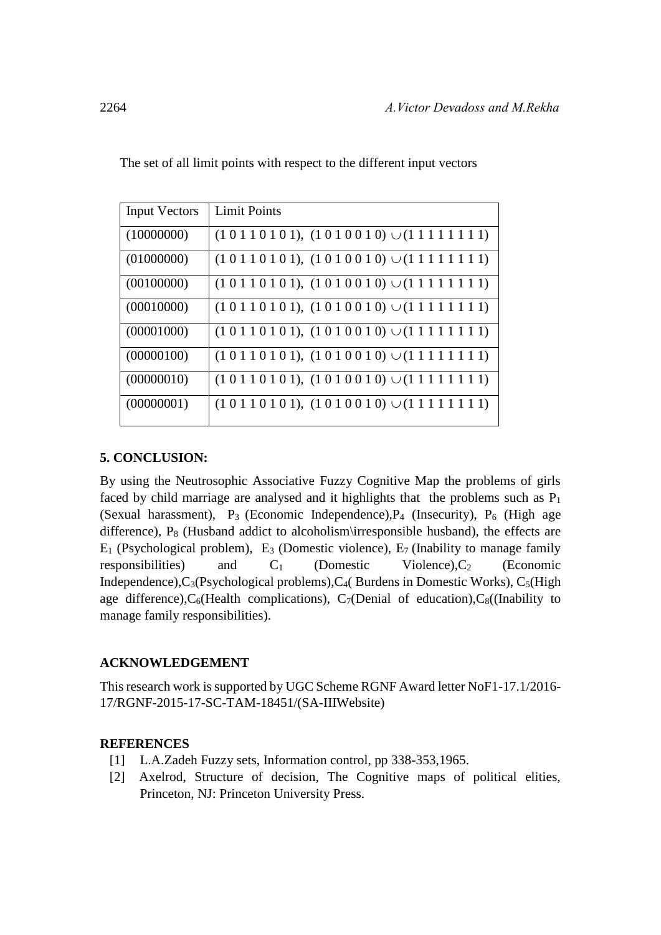| <b>Input Vectors</b> | <b>Limit Points</b>                                                             |
|----------------------|---------------------------------------------------------------------------------|
| (10000000)           | $(1\ 0\ 1\ 1\ 0\ 1\ 0\ 1), (1\ 0\ 1\ 0\ 0\ 1\ 0) \cup (1\ 1\ 1\ 1\ 1\ 1\ 1\ 1)$ |
| (01000000)           | $(1\ 0\ 1\ 1\ 0\ 1\ 0\ 1), (1\ 0\ 1\ 0\ 0\ 1\ 0) \cup (1\ 1\ 1\ 1\ 1\ 1\ 1\ 1)$ |
| (00100000)           | $(1\ 0\ 1\ 1\ 0\ 1\ 0\ 1), (1\ 0\ 1\ 0\ 0\ 1\ 0) \cup (1\ 1\ 1\ 1\ 1\ 1\ 1\ 1)$ |
| (00010000)           | $(1\ 0\ 1\ 1\ 0\ 1\ 0\ 1), (1\ 0\ 1\ 0\ 0\ 1\ 0) \cup (1\ 1\ 1\ 1\ 1\ 1\ 1\ 1)$ |
| (00001000)           | $(1\ 0\ 1\ 1\ 0\ 1\ 0\ 1), (1\ 0\ 1\ 0\ 0\ 1\ 0) \cup (1\ 1\ 1\ 1\ 1\ 1\ 1\ 1)$ |
| (00000100)           | $(1\ 0\ 1\ 1\ 0\ 1\ 0\ 1), (1\ 0\ 1\ 0\ 0\ 1\ 0) \cup (1\ 1\ 1\ 1\ 1\ 1\ 1\ 1)$ |
| (00000010)           | $(1\ 0\ 1\ 1\ 0\ 1\ 0\ 1), (1\ 0\ 1\ 0\ 0\ 1\ 0) \cup (1\ 1\ 1\ 1\ 1\ 1\ 1\ 1)$ |
| (00000001)           | $(1\ 0\ 1\ 1\ 0\ 1\ 0\ 1), (1\ 0\ 1\ 0\ 0\ 1\ 0) \cup (1\ 1\ 1\ 1\ 1\ 1\ 1\ 1)$ |

The set of all limit points with respect to the different input vectors

# **5. CONCLUSION:**

By using the Neutrosophic Associative Fuzzy Cognitive Map the problems of girls faced by child marriage are analysed and it highlights that the problems such as  $P_1$ (Sexual harassment),  $P_3$  (Economic Independence), $P_4$  (Insecurity),  $P_6$  (High age difference),  $P_8$  (Husband addict to alcoholism\irresponsible husband), the effects are  $E_1$  (Psychological problem),  $E_3$  (Domestic violence),  $E_7$  (Inability to manage family responsibilities) and  $C_1$  (Domestic Violence),  $C_2$  (Economic Independence), $C_3$ (Psychological problems), $C_4$ (Burdens in Domestic Works),  $C_5$ (High age difference), $C_6$ (Health complications),  $C_7$ (Denial of education), $C_8$ ((Inability to manage family responsibilities).

# **ACKNOWLEDGEMENT**

This research work is supported by UGC Scheme RGNF Award letter NoF1-17.1/2016- 17/RGNF-2015-17-SC-TAM-18451/(SA-IIIWebsite)

# **REFERENCES**

- [1] L.A.Zadeh Fuzzy sets, Information control, pp 338-353,1965.
- [2] Axelrod, Structure of decision, The Cognitive maps of political elities, Princeton, NJ: Princeton University Press.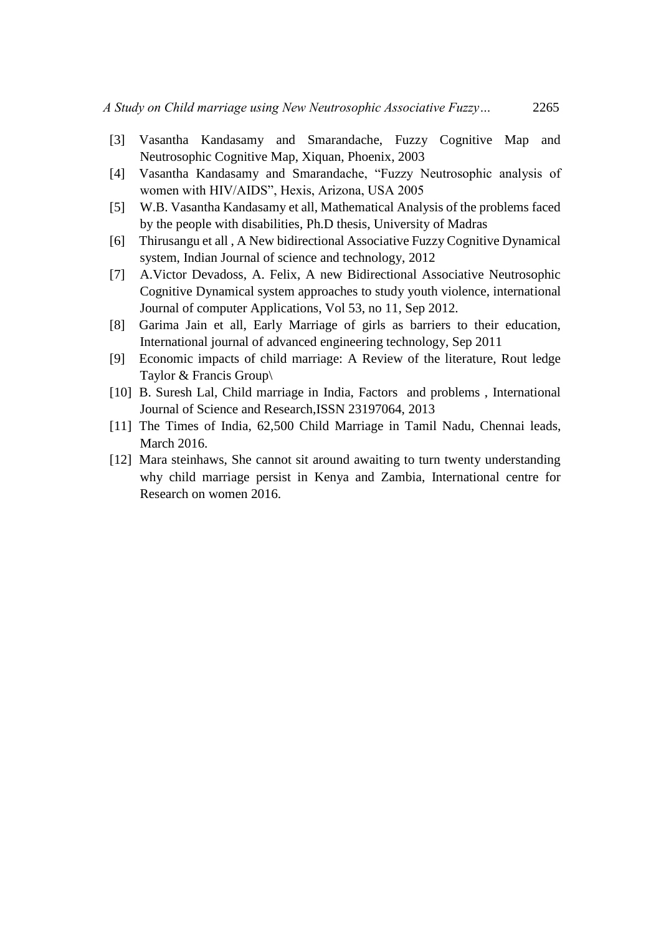- [3] Vasantha Kandasamy and Smarandache, Fuzzy Cognitive Map and Neutrosophic Cognitive Map, Xiquan, Phoenix, 2003
- [4] Vasantha Kandasamy and Smarandache, "Fuzzy Neutrosophic analysis of women with HIV/AIDS", Hexis, Arizona, USA 2005
- [5] W.B. Vasantha Kandasamy et all, Mathematical Analysis of the problems faced by the people with disabilities, Ph.D thesis, University of Madras
- [6] Thirusangu et all , A New bidirectional Associative Fuzzy Cognitive Dynamical system, Indian Journal of science and technology, 2012
- [7] A.Victor Devadoss, A. Felix, A new Bidirectional Associative Neutrosophic Cognitive Dynamical system approaches to study youth violence, international Journal of computer Applications, Vol 53, no 11, Sep 2012.
- [8] Garima Jain et all, Early Marriage of girls as barriers to their education, International journal of advanced engineering technology, Sep 2011
- [9] Economic impacts of child marriage: A Review of the literature, Rout ledge Taylor & Francis Group\
- [10] B. Suresh Lal, Child marriage in India, Factors and problems, International Journal of Science and Research,ISSN 23197064, 2013
- [11] The Times of India, 62,500 Child Marriage in Tamil Nadu, Chennai leads, March 2016.
- [12] Mara steinhaws, She cannot sit around awaiting to turn twenty understanding why child marriage persist in Kenya and Zambia, International centre for Research on women 2016.